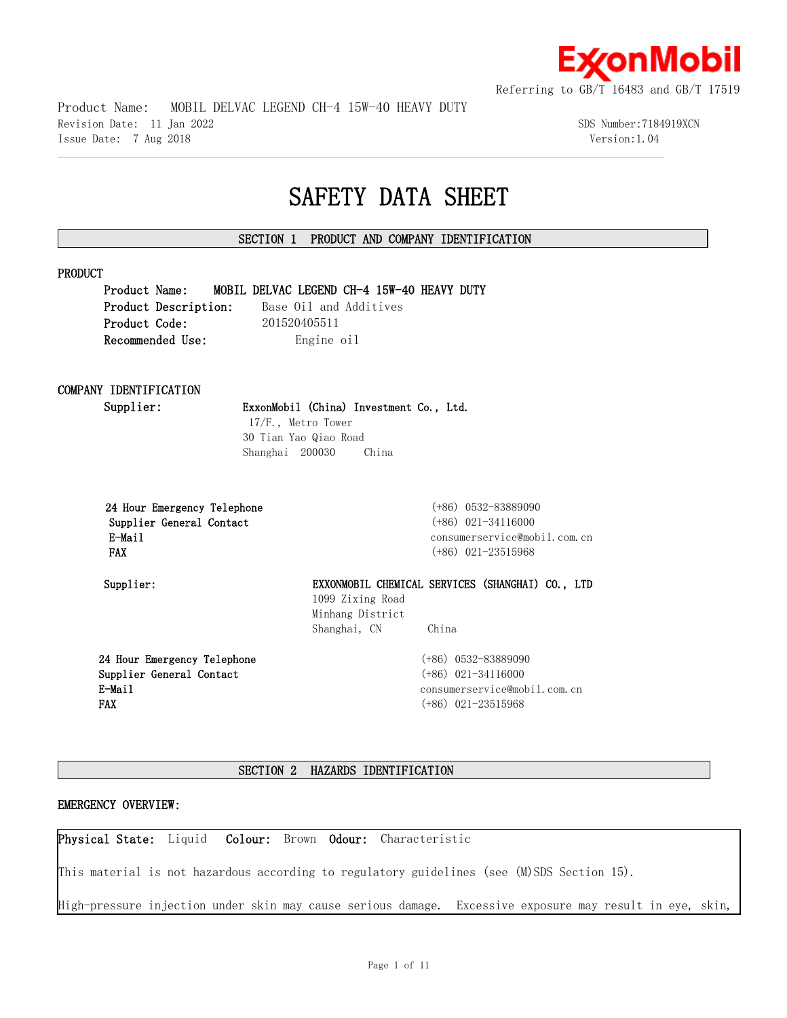

Product Name: MOBIL DELVAC LEGEND CH-4 15W-40 HEAVY DUTY

Revision Date: 11 Jan 2022 3DS Number:7184919XCN Issue Date: 7 Aug 2018 Version:1.04

# **SAFETY DATA SHEET**

# **SECTION 1 PRODUCT AND COMPANY IDENTIFICATION**

 $\mathcal{L} = \{ \mathcal{L} = \{ \mathcal{L} = \{ \mathcal{L} = \{ \mathcal{L} = \{ \mathcal{L} = \{ \mathcal{L} = \{ \mathcal{L} = \{ \mathcal{L} = \{ \mathcal{L} = \{ \mathcal{L} = \{ \mathcal{L} = \{ \mathcal{L} = \{ \mathcal{L} = \{ \mathcal{L} = \{ \mathcal{L} = \{ \mathcal{L} = \{ \mathcal{L} = \{ \mathcal{L} = \{ \mathcal{L} = \{ \mathcal{L} = \{ \mathcal{L} = \{ \mathcal{L} = \{ \mathcal{L} = \{ \mathcal{$ 

# **PRODUCT**

**Product Name: MOBIL DELVAC LEGEND CH-4 15W-40 HEAVY DUTY** Product Description: Base Oil and Additives **Product Code:** 201520405511 **Recommended Use:** Engine oil

# **COMPANY IDENTIFICATION**

**Supplier: ExxonMobil (China) Investment Co., Ltd.**

17/F., Metro Tower 30 Tian Yao Qiao Road Shanghai 200030 China

|            |        |                          | 24 Hour Emergency Telephone |
|------------|--------|--------------------------|-----------------------------|
|            |        | Supplier General Contact |                             |
|            | E-Mail |                          |                             |
| <b>FAX</b> |        |                          |                             |

 **24 Hour Emergency Telephone** (+86) 0532-83889090  **Supplier General Contact** (+86) 021-34116000 consumerservice@mobil.com.cn  **FAX** (+86) 021-23515968

**Supplier: EXXONMOBIL CHEMICAL SERVICES (SHANGHAI) CO., LTD**  1099 Zixing Road Minhang District Shanghai, CN China

**24 Hour Emergency Telephone Supplier General Contact E-Mail FAX**

(+86) 0532-83889090 (+86) 021-34116000 consumerservice@mobil.com.cn (+86) 021-23515968

# **SECTION 2 HAZARDS IDENTIFICATION**

# **EMERGENCY OVERVIEW:**

**Physical State:** Liquid **Colour:** Brown **Odour:** Characteristic

This material is not hazardous according to regulatory guidelines (see (M)SDS Section 15).

High-pressure injection under skin may cause serious damage. Excessive exposure may result in eye, skin,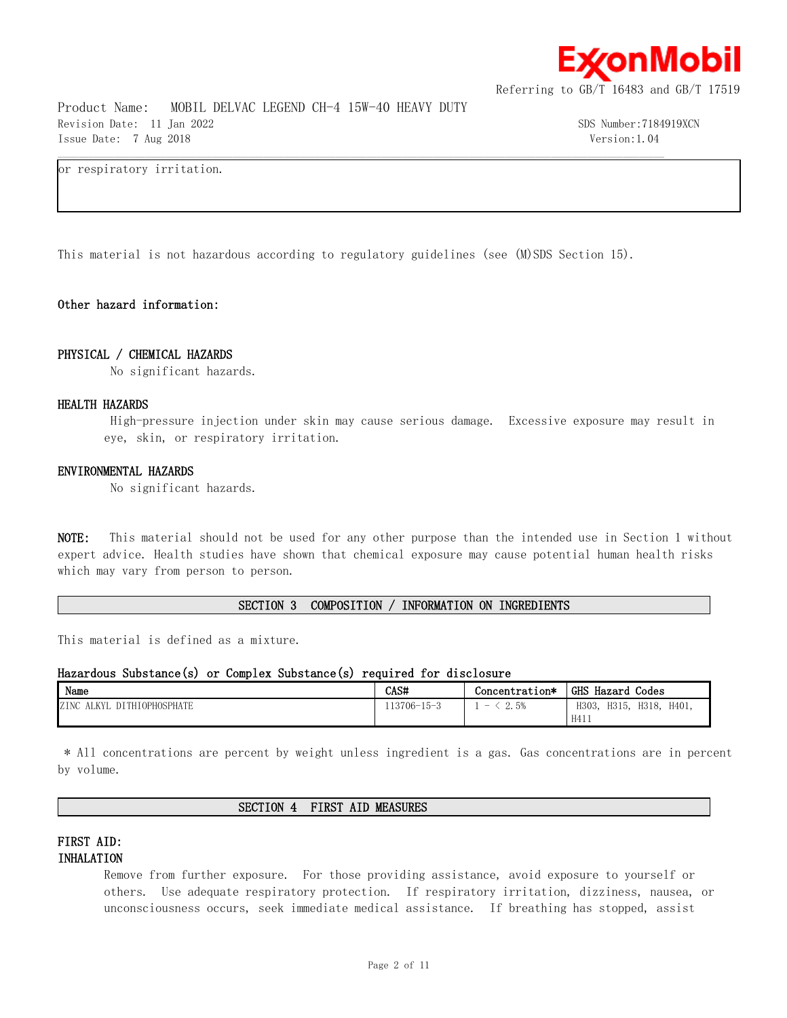

Product Name: MOBIL DELVAC LEGEND CH-4 15W-40 HEAVY DUTY Revision Date: 11 Jan 2022 SDS Number:7184919XCN Issue Date: 7 Aug 2018 Version:1.04

or respiratory irritation.

This material is not hazardous according to regulatory guidelines (see (M)SDS Section 15).

 $\mathcal{L} = \{ \mathcal{L} = \{ \mathcal{L} = \{ \mathcal{L} = \{ \mathcal{L} = \{ \mathcal{L} = \{ \mathcal{L} = \{ \mathcal{L} = \{ \mathcal{L} = \{ \mathcal{L} = \{ \mathcal{L} = \{ \mathcal{L} = \{ \mathcal{L} = \{ \mathcal{L} = \{ \mathcal{L} = \{ \mathcal{L} = \{ \mathcal{L} = \{ \mathcal{L} = \{ \mathcal{L} = \{ \mathcal{L} = \{ \mathcal{L} = \{ \mathcal{L} = \{ \mathcal{L} = \{ \mathcal{L} = \{ \mathcal{$ 

# **Other hazard information:**

# **PHYSICAL / CHEMICAL HAZARDS**

No significant hazards.

# **HEALTH HAZARDS**

High-pressure injection under skin may cause serious damage. Excessive exposure may result in eye, skin, or respiratory irritation.

#### **ENVIRONMENTAL HAZARDS**

No significant hazards.

**NOTE:** This material should not be used for any other purpose than the intended use in Section 1 without expert advice. Health studies have shown that chemical exposure may cause potential human health risks which may vary from person to person.

### **SECTION 3 COMPOSITION / INFORMATION ON INGREDIENTS**

This material is defined as a mixture.

# **Hazardous Substance(s) or Complex Substance(s) required for disclosure**

| Name                                                   | CAS#              | Concentration*         | <b>GHS</b><br>Hazard<br>Codes    |
|--------------------------------------------------------|-------------------|------------------------|----------------------------------|
| ZINC<br><b>IOPHOSPHATE</b><br><b>ALKY</b> <sup>I</sup> | $113706 - 15 - 3$ | 2.5%<br><b>Service</b> | H401.<br>H318.<br>H315.<br>H303, |
|                                                        |                   |                        | H411                             |

\* All concentrations are percent by weight unless ingredient is a gas. Gas concentrations are in percent by volume.

# **SECTION 4 FIRST AID MEASURES**

# **FIRST AID: INHALATION**

Remove from further exposure. For those providing assistance, avoid exposure to yourself or others. Use adequate respiratory protection. If respiratory irritation, dizziness, nausea, or unconsciousness occurs, seek immediate medical assistance. If breathing has stopped, assist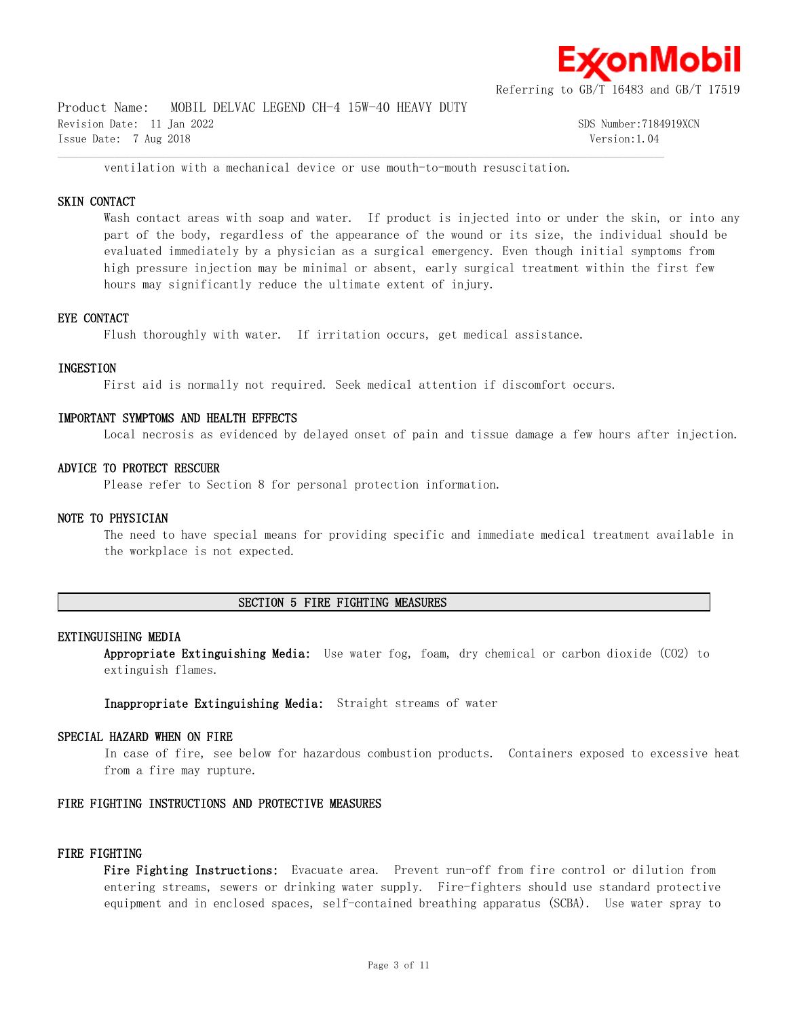

Product Name: MOBIL DELVAC LEGEND CH-4 15W-40 HEAVY DUTY Revision Date: 11 Jan 2022 SDS Number:7184919XCN Issue Date: 7 Aug 2018 Version:1.04

ventilation with a mechanical device or use mouth-to-mouth resuscitation.

 $\mathcal{L} = \{ \mathcal{L} = \{ \mathcal{L} = \{ \mathcal{L} = \{ \mathcal{L} = \{ \mathcal{L} = \{ \mathcal{L} = \{ \mathcal{L} = \{ \mathcal{L} = \{ \mathcal{L} = \{ \mathcal{L} = \{ \mathcal{L} = \{ \mathcal{L} = \{ \mathcal{L} = \{ \mathcal{L} = \{ \mathcal{L} = \{ \mathcal{L} = \{ \mathcal{L} = \{ \mathcal{L} = \{ \mathcal{L} = \{ \mathcal{L} = \{ \mathcal{L} = \{ \mathcal{L} = \{ \mathcal{L} = \{ \mathcal{$ 

# **SKIN CONTACT**

Wash contact areas with soap and water. If product is injected into or under the skin, or into any part of the body, regardless of the appearance of the wound or its size, the individual should be evaluated immediately by a physician as a surgical emergency. Even though initial symptoms from high pressure injection may be minimal or absent, early surgical treatment within the first few hours may significantly reduce the ultimate extent of injury.

# **EYE CONTACT**

Flush thoroughly with water. If irritation occurs, get medical assistance.

# **INGESTION**

First aid is normally not required. Seek medical attention if discomfort occurs.

#### **IMPORTANT SYMPTOMS AND HEALTH EFFECTS**

Local necrosis as evidenced by delayed onset of pain and tissue damage a few hours after injection.

### **ADVICE TO PROTECT RESCUER**

Please refer to Section 8 for personal protection information.

#### **NOTE TO PHYSICIAN**

The need to have special means for providing specific and immediate medical treatment available in the workplace is not expected.

# **SECTION 5 FIRE FIGHTING MEASURES**

# **EXTINGUISHING MEDIA**

**Appropriate Extinguishing Media:** Use water fog, foam, dry chemical or carbon dioxide (CO2) to extinguish flames.

**Inappropriate Extinguishing Media:** Straight streams of water

#### **SPECIAL HAZARD WHEN ON FIRE**

In case of fire, see below for hazardous combustion products. Containers exposed to excessive heat from a fire may rupture.

#### **FIRE FIGHTING INSTRUCTIONS AND PROTECTIVE MEASURES**

#### **FIRE FIGHTING**

**Fire Fighting Instructions:** Evacuate area. Prevent run-off from fire control or dilution from entering streams, sewers or drinking water supply. Fire-fighters should use standard protective equipment and in enclosed spaces, self-contained breathing apparatus (SCBA). Use water spray to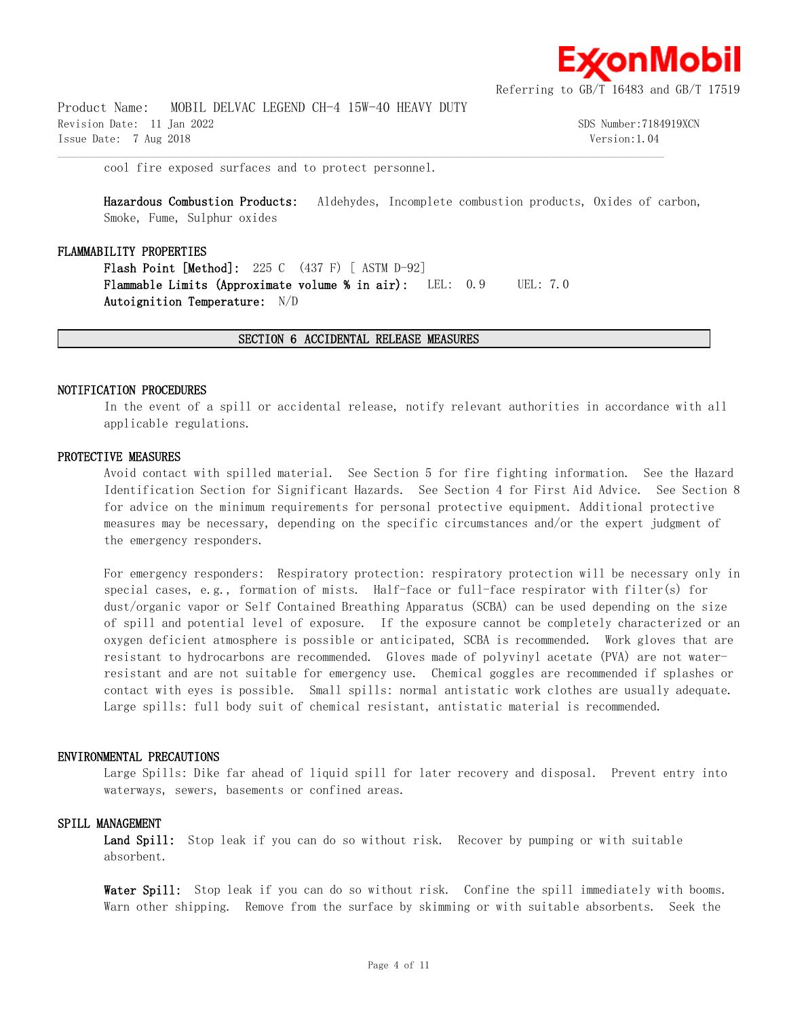

Product Name: MOBIL DELVAC LEGEND CH-4 15W-40 HEAVY DUTY Revision Date: 11 Jan 2022 SDS Number:7184919XCN Issue Date: 7 Aug 2018 Version:1.04

cool fire exposed surfaces and to protect personnel.

**Hazardous Combustion Products:** Aldehydes, Incomplete combustion products, Oxides of carbon, Smoke, Fume, Sulphur oxides

#### **FLAMMABILITY PROPERTIES**

**Flash Point [Method]:** 225 C (437 F) [ ASTM D-92] **Flammable Limits (Approximate volume % in air):** LEL: 0.9 UEL: 7.0 **Autoignition Temperature:** N/D

#### **SECTION 6 ACCIDENTAL RELEASE MEASURES**

 $\mathcal{L} = \{ \mathcal{L} = \{ \mathcal{L} = \{ \mathcal{L} = \{ \mathcal{L} = \{ \mathcal{L} = \{ \mathcal{L} = \{ \mathcal{L} = \{ \mathcal{L} = \{ \mathcal{L} = \{ \mathcal{L} = \{ \mathcal{L} = \{ \mathcal{L} = \{ \mathcal{L} = \{ \mathcal{L} = \{ \mathcal{L} = \{ \mathcal{L} = \{ \mathcal{L} = \{ \mathcal{L} = \{ \mathcal{L} = \{ \mathcal{L} = \{ \mathcal{L} = \{ \mathcal{L} = \{ \mathcal{L} = \{ \mathcal{$ 

#### **NOTIFICATION PROCEDURES**

In the event of a spill or accidental release, notify relevant authorities in accordance with all applicable regulations.

# **PROTECTIVE MEASURES**

Avoid contact with spilled material. See Section 5 for fire fighting information. See the Hazard Identification Section for Significant Hazards. See Section 4 for First Aid Advice. See Section 8 for advice on the minimum requirements for personal protective equipment. Additional protective measures may be necessary, depending on the specific circumstances and/or the expert judgment of the emergency responders.

For emergency responders: Respiratory protection: respiratory protection will be necessary only in special cases, e.g., formation of mists. Half-face or full-face respirator with filter(s) for dust/organic vapor or Self Contained Breathing Apparatus (SCBA) can be used depending on the size of spill and potential level of exposure. If the exposure cannot be completely characterized or an oxygen deficient atmosphere is possible or anticipated, SCBA is recommended. Work gloves that are resistant to hydrocarbons are recommended. Gloves made of polyvinyl acetate (PVA) are not waterresistant and are not suitable for emergency use. Chemical goggles are recommended if splashes or contact with eyes is possible. Small spills: normal antistatic work clothes are usually adequate. Large spills: full body suit of chemical resistant, antistatic material is recommended.

#### **ENVIRONMENTAL PRECAUTIONS**

Large Spills: Dike far ahead of liquid spill for later recovery and disposal. Prevent entry into waterways, sewers, basements or confined areas.

#### **SPILL MANAGEMENT**

Land Spill: Stop leak if you can do so without risk. Recover by pumping or with suitable absorbent.

Water Spill: Stop leak if you can do so without risk. Confine the spill immediately with booms. Warn other shipping. Remove from the surface by skimming or with suitable absorbents. Seek the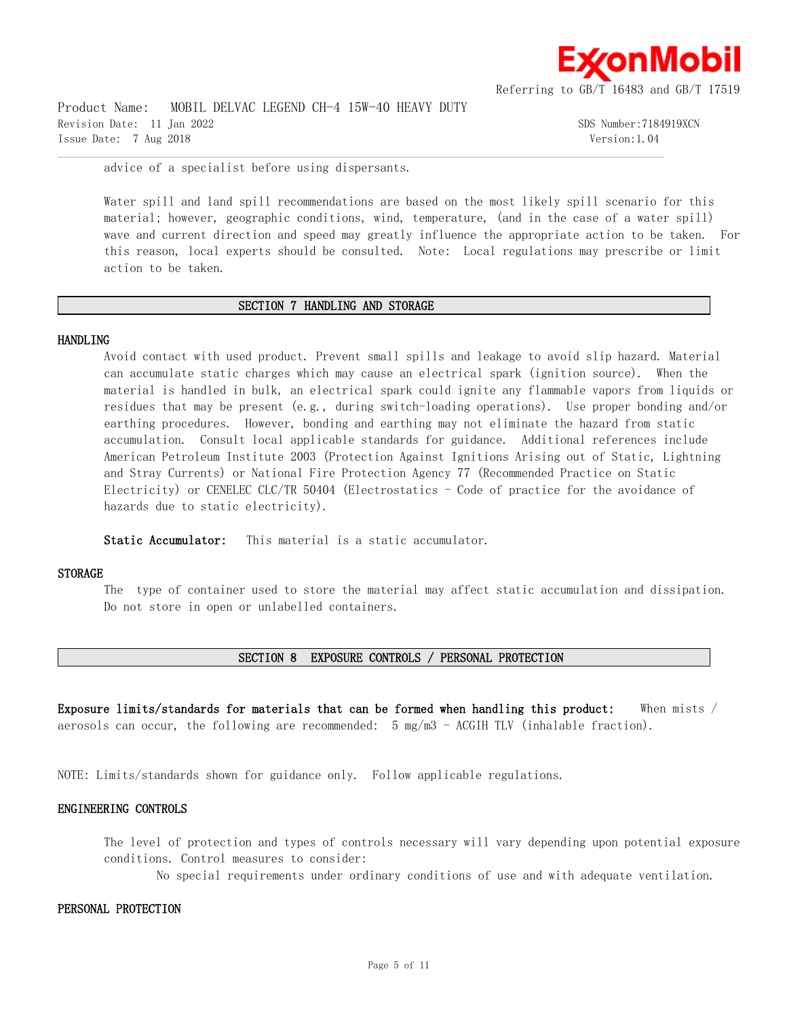

Product Name: MOBIL DELVAC LEGEND CH-4 15W-40 HEAVY DUTY Revision Date: 11 Jan 2022 SDS Number:7184919XCN Issue Date: 7 Aug 2018 Version:1.04

advice of a specialist before using dispersants.

Water spill and land spill recommendations are based on the most likely spill scenario for this material; however, geographic conditions, wind, temperature, (and in the case of a water spill) wave and current direction and speed may greatly influence the appropriate action to be taken. For this reason, local experts should be consulted. Note: Local regulations may prescribe or limit action to be taken.

#### **SECTION 7 HANDLING AND STORAGE**

 $\mathcal{L} = \{ \mathcal{L} = \{ \mathcal{L} = \{ \mathcal{L} = \{ \mathcal{L} = \{ \mathcal{L} = \{ \mathcal{L} = \{ \mathcal{L} = \{ \mathcal{L} = \{ \mathcal{L} = \{ \mathcal{L} = \{ \mathcal{L} = \{ \mathcal{L} = \{ \mathcal{L} = \{ \mathcal{L} = \{ \mathcal{L} = \{ \mathcal{L} = \{ \mathcal{L} = \{ \mathcal{L} = \{ \mathcal{L} = \{ \mathcal{L} = \{ \mathcal{L} = \{ \mathcal{L} = \{ \mathcal{L} = \{ \mathcal{$ 

#### **HANDLING**

Avoid contact with used product. Prevent small spills and leakage to avoid slip hazard. Material can accumulate static charges which may cause an electrical spark (ignition source). When the material is handled in bulk, an electrical spark could ignite any flammable vapors from liquids or residues that may be present (e.g., during switch-loading operations). Use proper bonding and/or earthing procedures. However, bonding and earthing may not eliminate the hazard from static accumulation. Consult local applicable standards for guidance. Additional references include American Petroleum Institute 2003 (Protection Against Ignitions Arising out of Static, Lightning and Stray Currents) or National Fire Protection Agency 77 (Recommended Practice on Static Electricity) or CENELEC CLC/TR 50404 (Electrostatics  $-$  Code of practice for the avoidance of hazards due to static electricity).

**Static Accumulator:** This material is a static accumulator.

#### **STORAGE**

The type of container used to store the material may affect static accumulation and dissipation. Do not store in open or unlabelled containers.

# **SECTION 8 EXPOSURE CONTROLS / PERSONAL PROTECTION**

**Exposure limits/standards for materials that can be formed when handling this product:** When mists / aerosols can occur, the following are recommended: 5 mg/m3 - ACGIH TLV (inhalable fraction).

NOTE: Limits/standards shown for guidance only. Follow applicable regulations.

#### **ENGINEERING CONTROLS**

The level of protection and types of controls necessary will vary depending upon potential exposure conditions. Control measures to consider:

No special requirements under ordinary conditions of use and with adequate ventilation.

#### **PERSONAL PROTECTION**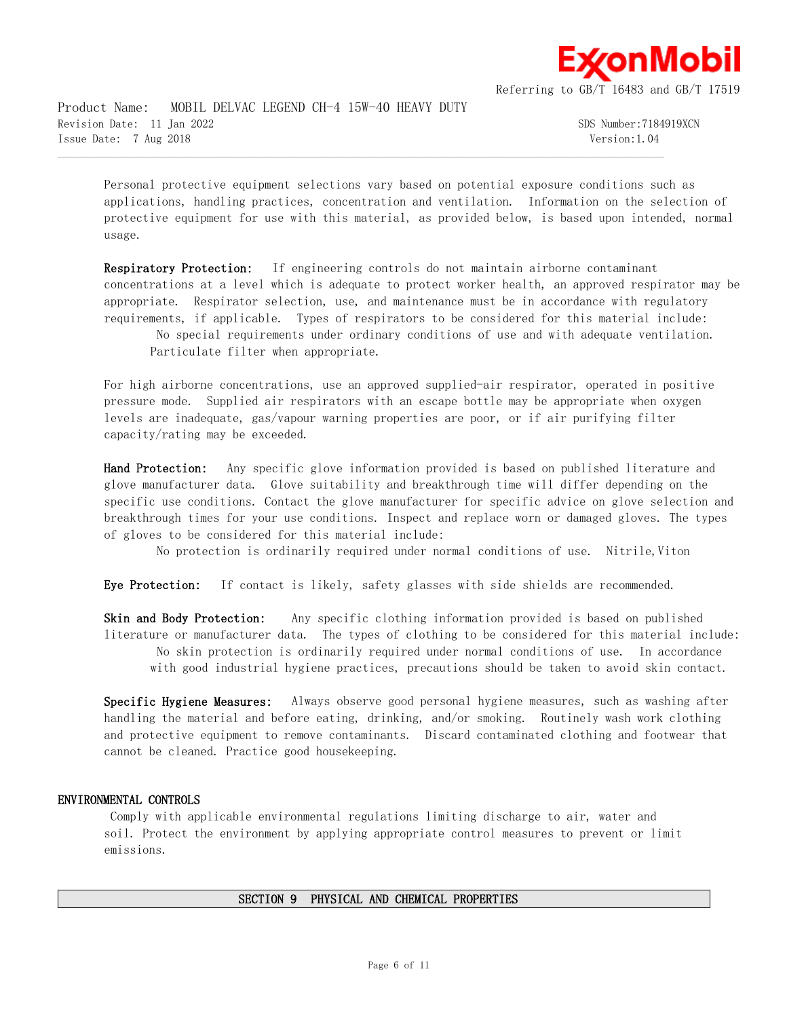

Product Name: MOBIL DELVAC LEGEND CH-4 15W-40 HEAVY DUTY Revision Date: 11 Jan 2022 SDS Number:7184919XCN Issue Date: 7 Aug 2018 Version:1.04

Personal protective equipment selections vary based on potential exposure conditions such as applications, handling practices, concentration and ventilation. Information on the selection of protective equipment for use with this material, as provided below, is based upon intended, normal usage.

 $\mathcal{L} = \{ \mathcal{L} = \{ \mathcal{L} = \{ \mathcal{L} = \{ \mathcal{L} = \{ \mathcal{L} = \{ \mathcal{L} = \{ \mathcal{L} = \{ \mathcal{L} = \{ \mathcal{L} = \{ \mathcal{L} = \{ \mathcal{L} = \{ \mathcal{L} = \{ \mathcal{L} = \{ \mathcal{L} = \{ \mathcal{L} = \{ \mathcal{L} = \{ \mathcal{L} = \{ \mathcal{L} = \{ \mathcal{L} = \{ \mathcal{L} = \{ \mathcal{L} = \{ \mathcal{L} = \{ \mathcal{L} = \{ \mathcal{$ 

**Respiratory Protection:** If engineering controls do not maintain airborne contaminant concentrations at a level which is adequate to protect worker health, an approved respirator may be appropriate. Respirator selection, use, and maintenance must be in accordance with regulatory requirements, if applicable. Types of respirators to be considered for this material include:

No special requirements under ordinary conditions of use and with adequate ventilation. Particulate filter when appropriate.

For high airborne concentrations, use an approved supplied-air respirator, operated in positive pressure mode. Supplied air respirators with an escape bottle may be appropriate when oxygen levels are inadequate, gas/vapour warning properties are poor, or if air purifying filter capacity/rating may be exceeded.

**Hand Protection:** Any specific glove information provided is based on published literature and glove manufacturer data. Glove suitability and breakthrough time will differ depending on the specific use conditions. Contact the glove manufacturer for specific advice on glove selection and breakthrough times for your use conditions. Inspect and replace worn or damaged gloves. The types of gloves to be considered for this material include:

No protection is ordinarily required under normal conditions of use. Nitrile,Viton

**Eye Protection:** If contact is likely, safety glasses with side shields are recommended.

**Skin and Body Protection:** Any specific clothing information provided is based on published literature or manufacturer data. The types of clothing to be considered for this material include: No skin protection is ordinarily required under normal conditions of use. In accordance with good industrial hygiene practices, precautions should be taken to avoid skin contact.

**Specific Hygiene Measures:** Always observe good personal hygiene measures, such as washing after handling the material and before eating, drinking, and/or smoking. Routinely wash work clothing and protective equipment to remove contaminants. Discard contaminated clothing and footwear that cannot be cleaned. Practice good housekeeping.

# **ENVIRONMENTAL CONTROLS**

Comply with applicable environmental regulations limiting discharge to air, water and soil. Protect the environment by applying appropriate control measures to prevent or limit emissions.

# **SECTION 9 PHYSICAL AND CHEMICAL PROPERTIES**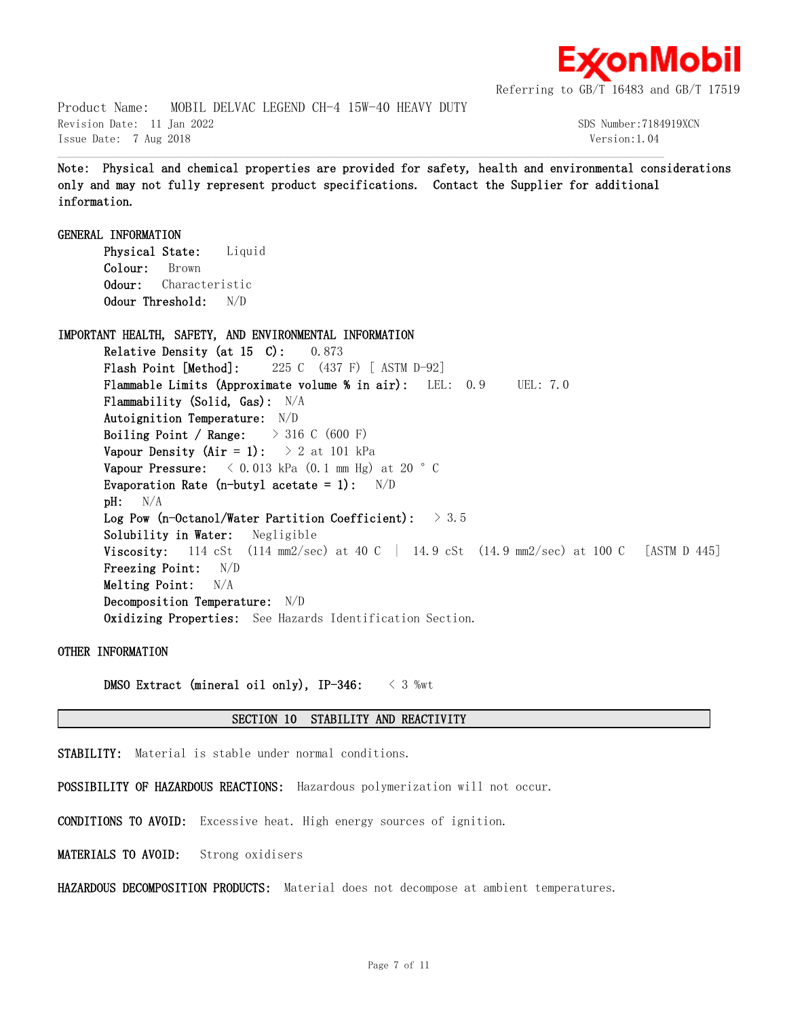

Product Name: MOBIL DELVAC LEGEND CH-4 15W-40 HEAVY DUTY Revision Date: 11 Jan 2022 SDS Number:7184919XCN Issue Date: 7 Aug 2018 Version:1.04

**Note: Physical and chemical properties are provided for safety, health and environmental considerations only and may not fully represent product specifications. Contact the Supplier for additional information.**

 $\mathcal{L} = \{ \mathcal{L} = \{ \mathcal{L} = \{ \mathcal{L} = \{ \mathcal{L} = \{ \mathcal{L} = \{ \mathcal{L} = \{ \mathcal{L} = \{ \mathcal{L} = \{ \mathcal{L} = \{ \mathcal{L} = \{ \mathcal{L} = \{ \mathcal{L} = \{ \mathcal{L} = \{ \mathcal{L} = \{ \mathcal{L} = \{ \mathcal{L} = \{ \mathcal{L} = \{ \mathcal{L} = \{ \mathcal{L} = \{ \mathcal{L} = \{ \mathcal{L} = \{ \mathcal{L} = \{ \mathcal{L} = \{ \mathcal{$ 

**GENERAL INFORMATION Physical State:** Liquid **Colour:** Brown **Odour:** Characteristic **Odour Threshold:** N/D **IMPORTANT HEALTH, SAFETY, AND ENVIRONMENTAL INFORMATION Relative Density (at 15 C):** 0.873 **Flash Point [Method]:** 225 C (437 F) [ ASTM D-92] **Flammable Limits (Approximate volume % in air):** LEL: 0.9 UEL: 7.0 **Flammability (Solid, Gas):** N/A **Autoignition Temperature:** N/D **Boiling Point / Range:** > 316 C (600 F) **Vapour Density (Air = 1):**  $> 2$  at 101 kPa **Vapour Pressure:**  $\langle 0.013 \text{ kPa} (0.1 \text{ mm Hg}) \text{ at } 20 \text{ }^{\circ} \text{ C}$ **Evaporation Rate (n-butyl acetate = 1):** N/D **pH:** N/A **Log Pow (n-Octanol/Water Partition Coefficient):** > 3.5 **Solubility in Water:** Negligible **Viscosity:** 114 cSt (114 mm2/sec) at 40 C | 14.9 cSt (14.9 mm2/sec) at 100 C [ASTM D 445] **Freezing Point:** N/D **Melting Point:** N/A **Decomposition Temperature:** N/D **Oxidizing Properties:** See Hazards Identification Section.

**OTHER INFORMATION**

**DMSO Extract (mineral oil only), IP-346:** < 3 %wt

#### **SECTION 10 STABILITY AND REACTIVITY**

**STABILITY:** Material is stable under normal conditions.

**POSSIBILITY OF HAZARDOUS REACTIONS:** Hazardous polymerization will not occur.

**CONDITIONS TO AVOID:** Excessive heat. High energy sources of ignition.

**MATERIALS TO AVOID:** Strong oxidisers

**HAZARDOUS DECOMPOSITION PRODUCTS:** Material does not decompose at ambient temperatures.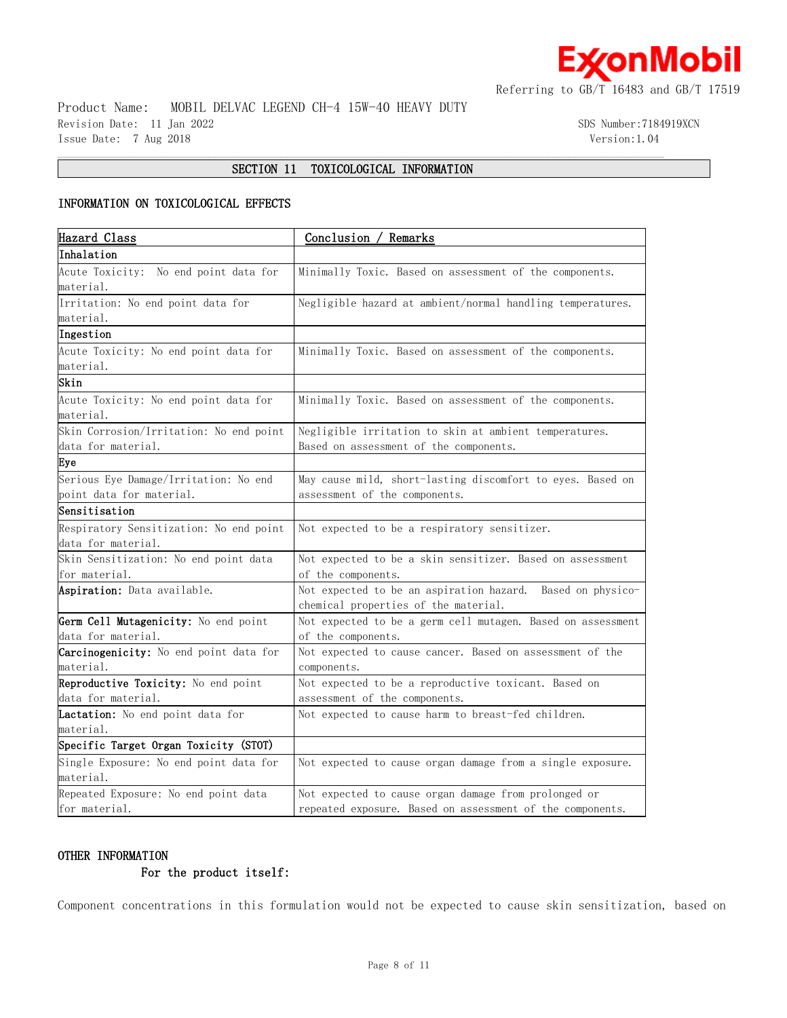

Product Name: MOBIL DELVAC LEGEND CH-4 15W-40 HEAVY DUTY Revision Date: 11 Jan 2022 SDS Number:7184919XCN Issue Date: 7 Aug 2018 Version:1.04

# $\mathcal{L} = \{ \mathcal{L} = \{ \mathcal{L} = \{ \mathcal{L} = \{ \mathcal{L} = \{ \mathcal{L} = \{ \mathcal{L} = \{ \mathcal{L} = \{ \mathcal{L} = \{ \mathcal{L} = \{ \mathcal{L} = \{ \mathcal{L} = \{ \mathcal{L} = \{ \mathcal{L} = \{ \mathcal{L} = \{ \mathcal{L} = \{ \mathcal{L} = \{ \mathcal{L} = \{ \mathcal{L} = \{ \mathcal{L} = \{ \mathcal{L} = \{ \mathcal{L} = \{ \mathcal{L} = \{ \mathcal{L} = \{ \mathcal{$ **SECTION 11 TOXICOLOGICAL INFORMATION**

# **INFORMATION ON TOXICOLOGICAL EFFECTS**

| Hazard Class                            | Conclusion / Remarks                                        |  |  |
|-----------------------------------------|-------------------------------------------------------------|--|--|
| Inhalation                              |                                                             |  |  |
| Acute Toxicity: No end point data for   | Minimally Toxic. Based on assessment of the components.     |  |  |
| material.                               |                                                             |  |  |
| Irritation: No end point data for       | Negligible hazard at ambient/normal handling temperatures.  |  |  |
| material.                               |                                                             |  |  |
| Ingestion                               |                                                             |  |  |
| Acute Toxicity: No end point data for   | Minimally Toxic. Based on assessment of the components.     |  |  |
| material.                               |                                                             |  |  |
| Skin                                    |                                                             |  |  |
| Acute Toxicity: No end point data for   | Minimally Toxic. Based on assessment of the components.     |  |  |
| material.                               |                                                             |  |  |
| Skin Corrosion/Irritation: No end point | Negligible irritation to skin at ambient temperatures.      |  |  |
| data for material.                      | Based on assessment of the components.                      |  |  |
| Eye                                     |                                                             |  |  |
| Serious Eye Damage/Irritation: No end   | May cause mild, short-lasting discomfort to eyes. Based on  |  |  |
| point data for material.                | assessment of the components.                               |  |  |
| Sensitisation                           |                                                             |  |  |
| Respiratory Sensitization: No end point | Not expected to be a respiratory sensitizer.                |  |  |
| data for material.                      |                                                             |  |  |
| Skin Sensitization: No end point data   | Not expected to be a skin sensitizer. Based on assessment   |  |  |
| for material.                           | of the components.                                          |  |  |
| Aspiration: Data available.             | Not expected to be an aspiration hazard. Based on physico-  |  |  |
|                                         | chemical properties of the material.                        |  |  |
| Germ Cell Mutagenicity: No end point    | Not expected to be a germ cell mutagen. Based on assessment |  |  |
| data for material.                      | of the components.                                          |  |  |
| Carcinogenicity: No end point data for  | Not expected to cause cancer. Based on assessment of the    |  |  |
| material.                               | components.                                                 |  |  |
| Reproductive Toxicity: No end point     | Not expected to be a reproductive toxicant. Based on        |  |  |
| data for material.                      | assessment of the components.                               |  |  |
| Lactation: No end point data for        | Not expected to cause harm to breast-fed children.          |  |  |
| material.                               |                                                             |  |  |
| Specific Target Organ Toxicity (STOT)   |                                                             |  |  |
| Single Exposure: No end point data for  | Not expected to cause organ damage from a single exposure.  |  |  |
| material.                               |                                                             |  |  |
| Repeated Exposure: No end point data    | Not expected to cause organ damage from prolonged or        |  |  |
| for material.                           | repeated exposure. Based on assessment of the components.   |  |  |

# **OTHER INFORMATION**

# **For the product itself:**

Component concentrations in this formulation would not be expected to cause skin sensitization, based on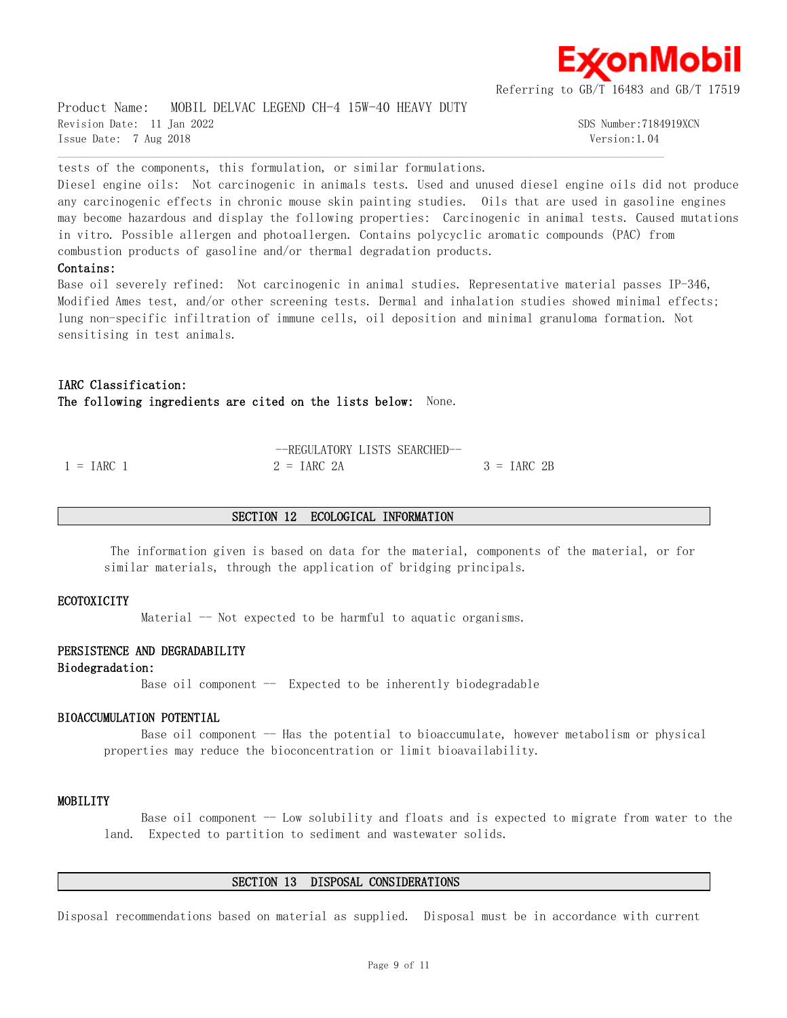

Product Name: MOBIL DELVAC LEGEND CH-4 15W-40 HEAVY DUTY Revision Date: 11 Jan 2022 SDS Number:7184919XCN Issue Date: 7 Aug 2018 Version:1.04

tests of the components, this formulation, or similar formulations.

Diesel engine oils: Not carcinogenic in animals tests. Used and unused diesel engine oils did not produce any carcinogenic effects in chronic mouse skin painting studies. Oils that are used in gasoline engines may become hazardous and display the following properties: Carcinogenic in animal tests. Caused mutations in vitro. Possible allergen and photoallergen. Contains polycyclic aromatic compounds (PAC) from combustion products of gasoline and/or thermal degradation products.

 $\mathcal{L} = \{ \mathcal{L} = \{ \mathcal{L} = \{ \mathcal{L} = \{ \mathcal{L} = \{ \mathcal{L} = \{ \mathcal{L} = \{ \mathcal{L} = \{ \mathcal{L} = \{ \mathcal{L} = \{ \mathcal{L} = \{ \mathcal{L} = \{ \mathcal{L} = \{ \mathcal{L} = \{ \mathcal{L} = \{ \mathcal{L} = \{ \mathcal{L} = \{ \mathcal{L} = \{ \mathcal{L} = \{ \mathcal{L} = \{ \mathcal{L} = \{ \mathcal{L} = \{ \mathcal{L} = \{ \mathcal{L} = \{ \mathcal{$ 

# **Contains:**

Base oil severely refined: Not carcinogenic in animal studies. Representative material passes IP-346, Modified Ames test, and/or other screening tests. Dermal and inhalation studies showed minimal effects; lung non-specific infiltration of immune cells, oil deposition and minimal granuloma formation. Not sensitising in test animals.

**IARC Classification: The following ingredients are cited on the lists below:** None.

|                     | --REGULATORY LISTS SEARCHED-- |              |
|---------------------|-------------------------------|--------------|
| $1 = \text{IARC}$ 1 | $2 = IARC 2A$                 | $3 = IARC2B$ |

# **SECTION 12 ECOLOGICAL INFORMATION**

The information given is based on data for the material, components of the material, or for similar materials, through the application of bridging principals.

#### **ECOTOXICITY**

Material -- Not expected to be harmful to aquatic organisms.

# **PERSISTENCE AND DEGRADABILITY**

#### **Biodegradation:**

Base oil component  $-$  Expected to be inherently biodegradable

#### **BIOACCUMULATION POTENTIAL**

Base oil component -- Has the potential to bioaccumulate, however metabolism or physical properties may reduce the bioconcentration or limit bioavailability.

#### **MOBILITY**

Base oil component -- Low solubility and floats and is expected to migrate from water to the land. Expected to partition to sediment and wastewater solids.

#### **SECTION 13 DISPOSAL CONSIDERATIONS**

Disposal recommendations based on material as supplied. Disposal must be in accordance with current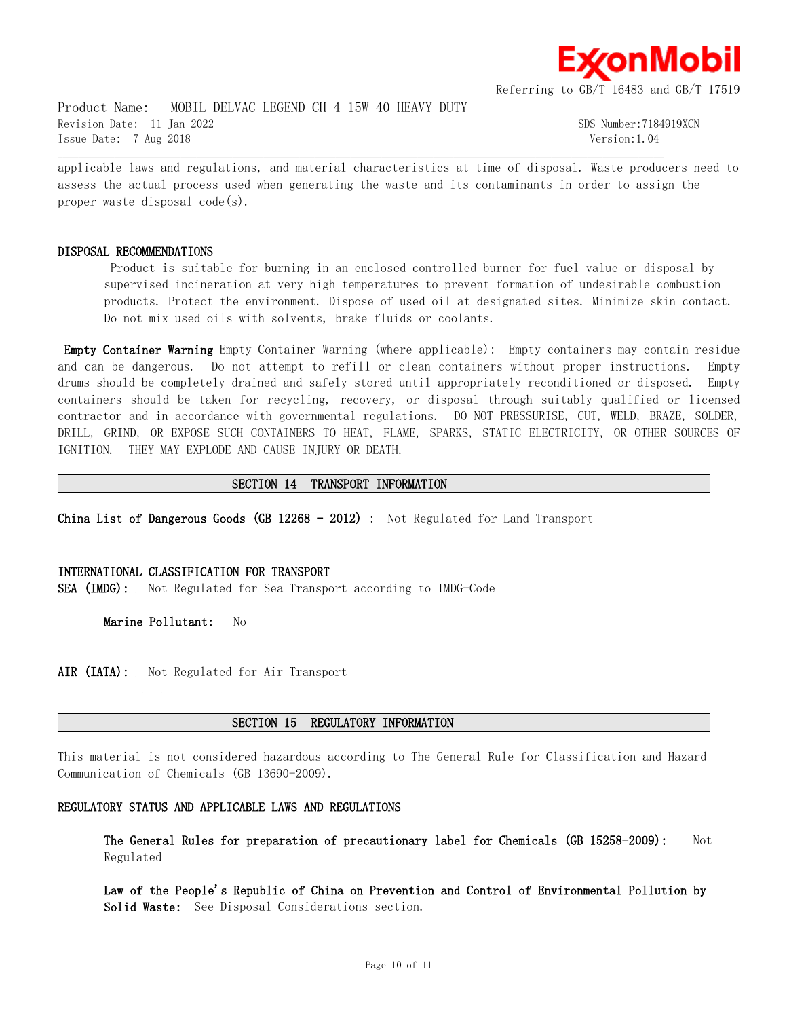

Product Name: MOBIL DELVAC LEGEND CH-4 15W-40 HEAVY DUTY Revision Date: 11 Jan 2022 SDS Number:7184919XCN Issue Date: 7 Aug 2018 Version:1.04

applicable laws and regulations, and material characteristics at time of disposal. Waste producers need to assess the actual process used when generating the waste and its contaminants in order to assign the proper waste disposal code(s).

 $\mathcal{L} = \{ \mathcal{L} = \{ \mathcal{L} = \{ \mathcal{L} = \{ \mathcal{L} = \{ \mathcal{L} = \{ \mathcal{L} = \{ \mathcal{L} = \{ \mathcal{L} = \{ \mathcal{L} = \{ \mathcal{L} = \{ \mathcal{L} = \{ \mathcal{L} = \{ \mathcal{L} = \{ \mathcal{L} = \{ \mathcal{L} = \{ \mathcal{L} = \{ \mathcal{L} = \{ \mathcal{L} = \{ \mathcal{L} = \{ \mathcal{L} = \{ \mathcal{L} = \{ \mathcal{L} = \{ \mathcal{L} = \{ \mathcal{$ 

# **DISPOSAL RECOMMENDATIONS**

Product is suitable for burning in an enclosed controlled burner for fuel value or disposal by supervised incineration at very high temperatures to prevent formation of undesirable combustion products. Protect the environment. Dispose of used oil at designated sites. Minimize skin contact. Do not mix used oils with solvents, brake fluids or coolants.

**Empty Container Warning** Empty Container Warning (where applicable): Empty containers may contain residue and can be dangerous. Do not attempt to refill or clean containers without proper instructions. Empty drums should be completely drained and safely stored until appropriately reconditioned or disposed. Empty containers should be taken for recycling, recovery, or disposal through suitably qualified or licensed contractor and in accordance with governmental regulations. DO NOT PRESSURISE, CUT, WELD, BRAZE, SOLDER, DRILL, GRIND, OR EXPOSE SUCH CONTAINERS TO HEAT, FLAME, SPARKS, STATIC ELECTRICITY, OR OTHER SOURCES OF IGNITION. THEY MAY EXPLODE AND CAUSE INJURY OR DEATH.

# **SECTION 14 TRANSPORT INFORMATION**

**China List of Dangerous Goods (GB 12268 - 2012)** : Not Regulated for Land Transport

# **INTERNATIONAL CLASSIFICATION FOR TRANSPORT**

**SEA (IMDG):** Not Regulated for Sea Transport according to IMDG-Code

**Marine Pollutant:** No

AIR (IATA): Not Regulated for Air Transport

# **SECTION 15 REGULATORY INFORMATION**

This material is not considered hazardous according to The General Rule for Classification and Hazard Communication of Chemicals (GB 13690-2009).

# **REGULATORY STATUS AND APPLICABLE LAWS AND REGULATIONS**

**The General Rules for preparation of precautionary label for Chemicals (GB 15258-2009):** Not Regulated

**Law of the People's Republic of China on Prevention and Control of Environmental Pollution by Solid Waste:** See Disposal Considerations section.